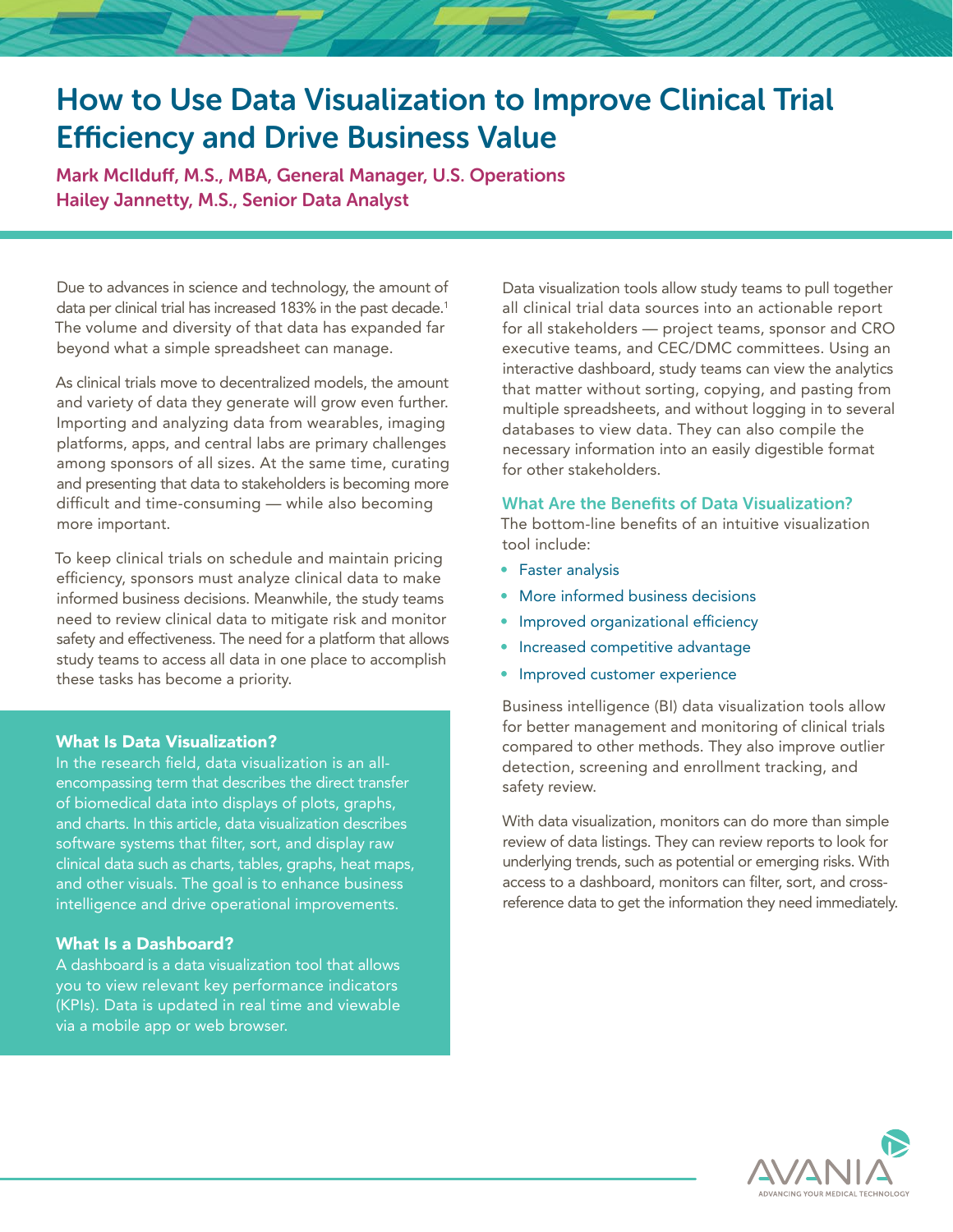# How to Use Data Visualization to Improve Clinical Trial Efficiency and Drive Business Value

Mark McIlduff, M.S., MBA, General Manager, U.S. Operations Hailey Jannetty, M.S., Senior Data Analyst

Due to advances in science and technology, the amount of data per clinical trial has increased 183% in the past decade.<sup>1</sup> The volume and diversity of that data has expanded far beyond what a simple spreadsheet can manage.

As clinical trials move to decentralized models, the amount and variety of data they generate will grow even further. Importing and analyzing data from wearables, imaging platforms, apps, and central labs are primary challenges among sponsors of all sizes. At the same time, curating and presenting that data to stakeholders is becoming more difficult and time-consuming — while also becoming more important.

To keep clinical trials on schedule and maintain pricing efficiency, sponsors must analyze clinical data to make informed business decisions. Meanwhile, the study teams need to review clinical data to mitigate risk and monitor safety and effectiveness. The need for a platform that allows study teams to access all data in one place to accomplish these tasks has become a priority.

#### What Is Data Visualization?

In the research field, data visualization is an allencompassing term that describes the direct transfer of biomedical data into displays of plots, graphs, and charts. In this article, data visualization describes software systems that filter, sort, and display raw clinical data such as charts, tables, graphs, heat maps, and other visuals. The goal is to enhance business intelligence and drive operational improvements.

# What Is a Dashboard?

A dashboard is a data visualization tool that allows you to view relevant key performance indicators (KPIs). Data is updated in real time and viewable via a mobile app or web browser.

Data visualization tools allow study teams to pull together all clinical trial data sources into an actionable report for all stakeholders — project teams, sponsor and CRO executive teams, and CEC/DMC committees. Using an interactive dashboard, study teams can view the analytics that matter without sorting, copying, and pasting from multiple spreadsheets, and without logging in to several databases to view data. They can also compile the necessary information into an easily digestible format for other stakeholders.

#### What Are the Benefits of Data Visualization?

The bottom-line benefits of an intuitive visualization tool include:

- Faster analysis
- More informed business decisions
- Improved organizational efficiency
- Increased competitive advantage
- Improved customer experience

Business intelligence (BI) data visualization tools allow for better management and monitoring of clinical trials compared to other methods. They also improve outlier detection, screening and enrollment tracking, and safety review.

With data visualization, monitors can do more than simple review of data listings. They can review reports to look for underlying trends, such as potential or emerging risks. With access to a dashboard, monitors can filter, sort, and crossreference data to get the information they need immediately.

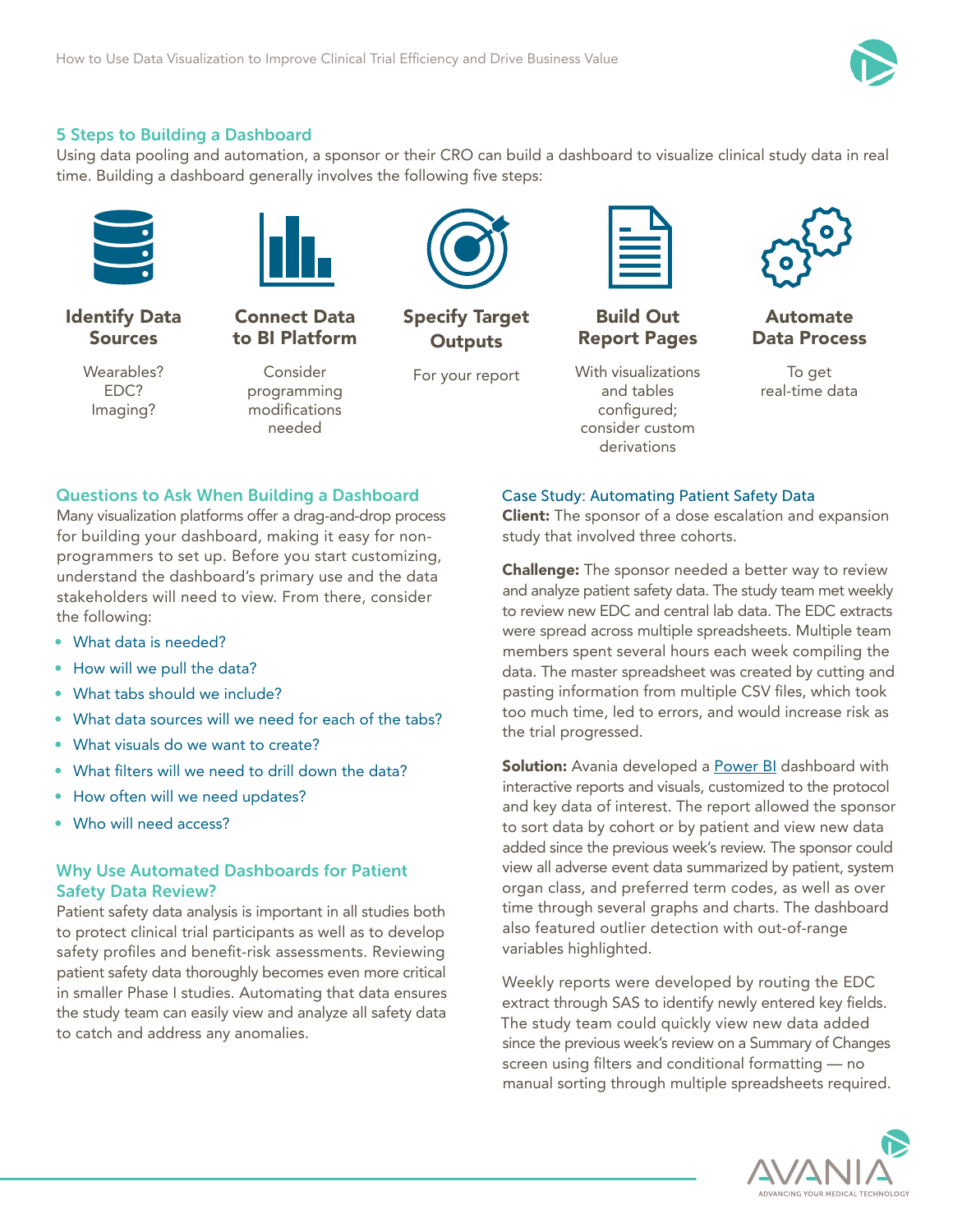

# 5 Steps to Building a Dashboard

Using data pooling and automation, a sponsor or their CRO can build a dashboard to visualize clinical study data in real time. Building a dashboard generally involves the following five steps:



Identify Data Sources

> Wearables? EDC? Imaging?



Consider programming modifications needed

Connect Data to BI Platform

For your report

Specify Target **Outputs** 



Build Out Report Pages

With visualizations and tables configured; consider custom derivations



Automate Data Process

To get real-time data

## Questions to Ask When Building a Dashboard

Many visualization platforms offer a drag-and-drop process for building your dashboard, making it easy for nonprogrammers to set up. Before you start customizing, understand the dashboard's primary use and the data stakeholders will need to view. From there, consider the following:

- What data is needed?
- How will we pull the data?
- What tabs should we include?
- What data sources will we need for each of the tabs?
- What visuals do we want to create?
- What filters will we need to drill down the data?
- How often will we need updates?
- Who will need access?

## Why Use Automated Dashboards for Patient Safety Data Review?

Patient safety data analysis is important in all studies both to protect clinical trial participants as well as to develop safety profiles and benefit-risk assessments. Reviewing patient safety data thoroughly becomes even more critical in smaller Phase I studies. Automating that data ensures the study team can easily view and analyze all safety data to catch and address any anomalies.

Case Study: Automating Patient Safety Data

**Client:** The sponsor of a dose escalation and expansion study that involved three cohorts.

**Challenge:** The sponsor needed a better way to review and analyze patient safety data. The study team met weekly to review new EDC and central lab data. The EDC extracts were spread across multiple spreadsheets. Multiple team members spent several hours each week compiling the data. The master spreadsheet was created by cutting and pasting information from multiple CSV files, which took too much time, led to errors, and would increase risk as the trial progressed.

**Solution:** Avania developed a **Power BI** dashboard with interactive reports and visuals, customized to the protocol and key data of interest. The report allowed the sponsor to sort data by cohort or by patient and view new data added since the previous week's review. The sponsor could view all adverse event data summarized by patient, system organ class, and preferred term codes, as well as over time through several graphs and charts. The dashboard also featured outlier detection with out-of-range variables highlighted.

Weekly reports were developed by routing the EDC extract through SAS to identify newly entered key fields. The study team could quickly view new data added since the previous week's review on a Summary of Changes screen using filters and conditional formatting — no manual sorting through multiple spreadsheets required.

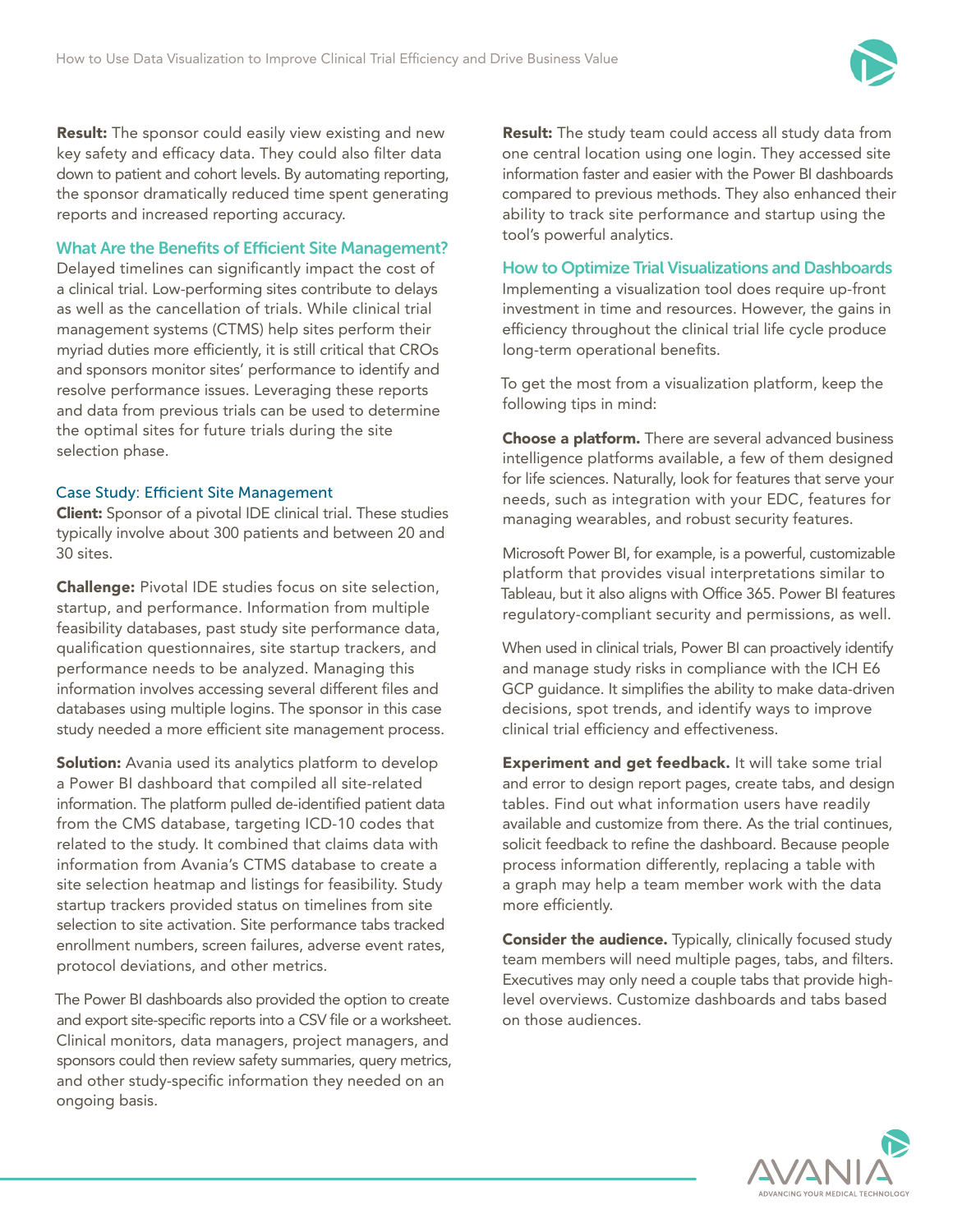

Result: The sponsor could easily view existing and new key safety and efficacy data. They could also filter data down to patient and cohort levels. By automating reporting, the sponsor dramatically reduced time spent generating reports and increased reporting accuracy.

# What Are the Benefits of Efficient Site Management?

Delayed timelines can significantly impact the cost of a clinical trial. Low-performing sites contribute to delays as well as the cancellation of trials. While clinical trial management systems (CTMS) help sites perform their myriad duties more efficiently, it is still critical that CROs and sponsors monitor sites' performance to identify and resolve performance issues. Leveraging these reports and data from previous trials can be used to determine the optimal sites for future trials during the site selection phase.

## Case Study: Efficient Site Management

Client: Sponsor of a pivotal IDE clinical trial. These studies typically involve about 300 patients and between 20 and 30 sites.

Challenge: Pivotal IDE studies focus on site selection, startup, and performance. Information from multiple feasibility databases, past study site performance data, qualification questionnaires, site startup trackers, and performance needs to be analyzed. Managing this information involves accessing several different files and databases using multiple logins. The sponsor in this case study needed a more efficient site management process.

**Solution:** Avania used its analytics platform to develop a Power BI dashboard that compiled all site-related information. The platform pulled de-identified patient data from the CMS database, targeting ICD-10 codes that related to the study. It combined that claims data with information from Avania's CTMS database to create a site selection heatmap and listings for feasibility. Study startup trackers provided status on timelines from site selection to site activation. Site performance tabs tracked enrollment numbers, screen failures, adverse event rates, protocol deviations, and other metrics.

The Power BI dashboards also provided the option to create and export site-specific reports into a CSV file or a worksheet. Clinical monitors, data managers, project managers, and sponsors could then review safety summaries, query metrics, and other study-specific information they needed on an ongoing basis.

Result: The study team could access all study data from one central location using one login. They accessed site information faster and easier with the Power BI dashboards compared to previous methods. They also enhanced their ability to track site performance and startup using the tool's powerful analytics.

## How to Optimize Trial Visualizations and Dashboards

Implementing a visualization tool does require up-front investment in time and resources. However, the gains in efficiency throughout the clinical trial life cycle produce long-term operational benefits.

To get the most from a visualization platform, keep the following tips in mind:

Choose a platform. There are several advanced business intelligence platforms available, a few of them designed for life sciences. Naturally, look for features that serve your needs, such as integration with your EDC, features for managing wearables, and robust security features.

Microsoft Power BI, for example, is a powerful, customizable platform that provides visual interpretations similar to Tableau, but it also aligns with Office 365. Power BI features regulatory-compliant security and permissions, as well.

When used in clinical trials, Power BI can proactively identify and manage study risks in compliance with the ICH E6 GCP guidance. It simplifies the ability to make data-driven decisions, spot trends, and identify ways to improve clinical trial efficiency and effectiveness.

Experiment and get feedback. It will take some trial and error to design report pages, create tabs, and design tables. Find out what information users have readily available and customize from there. As the trial continues, solicit feedback to refine the dashboard. Because people process information differently, replacing a table with a graph may help a team member work with the data more efficiently.

**Consider the audience.** Typically, clinically focused study team members will need multiple pages, tabs, and filters. Executives may only need a couple tabs that provide highlevel overviews. Customize dashboards and tabs based on those audiences.